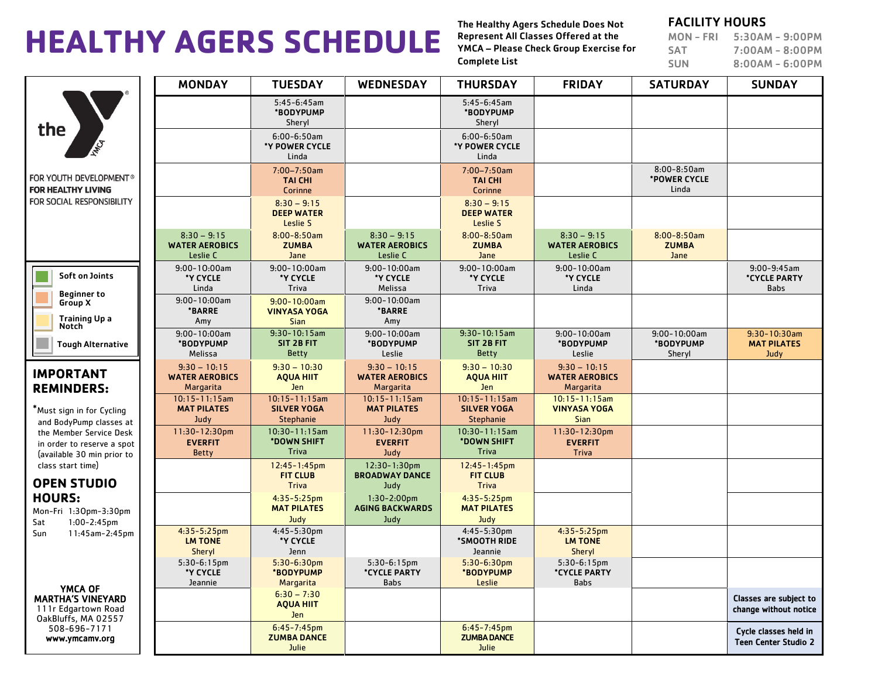# **HEALTHY AGERS SCHEDULE**

The Healthy Agers Schedule Does Not Represent All Classes Offered at the YMCA – Please Check Group Exercise for Complete List

### FACILITY HOURS

MON - FRI 5:30AM - 9:00PM SAT 7:00AM - 8:00PM SUN 8:00AM - 6:00PM

|                                                                                                                                                                                                                   | <b>MONDAY</b>                                        | <b>TUESDAY</b>                                               | <b>WEDNESDAY</b>                                     | <b>THURSDAY</b>                                       | <b>FRIDAY</b>                                            | <b>SATURDAY</b>                           | <b>SUNDAY</b>                                        |
|-------------------------------------------------------------------------------------------------------------------------------------------------------------------------------------------------------------------|------------------------------------------------------|--------------------------------------------------------------|------------------------------------------------------|-------------------------------------------------------|----------------------------------------------------------|-------------------------------------------|------------------------------------------------------|
| the<br>ANCA                                                                                                                                                                                                       |                                                      | $5:45-6:45am$<br>*BODYPUMP<br>Sheryl                         |                                                      | $5:45-6:45am$<br>*BODYPUMP<br>Sheryl                  |                                                          |                                           |                                                      |
|                                                                                                                                                                                                                   |                                                      | $6:00 - 6:50$ am<br>*Y POWER CYCLE<br>Linda                  |                                                      | $6:00 - 6:50$ am<br>*Y POWER CYCLE<br>Linda           |                                                          |                                           |                                                      |
| FOR YOUTH DEVELOPMENT®<br><b>FOR HEALTHY LIVING</b><br>FOR SOCIAL RESPONSIBILITY                                                                                                                                  |                                                      | $7:00 - 7:50$ am<br><b>TAI CHI</b><br>Corinne                |                                                      | $7:00 - 7:50$ am<br><b>TAI CHI</b><br>Corinne         |                                                          | $8:00 - 8:50$ am<br>*POWER CYCLE<br>Linda |                                                      |
|                                                                                                                                                                                                                   |                                                      | $8:30 - 9:15$<br><b>DEEP WATER</b><br>Leslie S               |                                                      | $8:30 - 9:15$<br><b>DEEP WATER</b><br>Leslie S        |                                                          |                                           |                                                      |
|                                                                                                                                                                                                                   | $8:30 - 9:15$<br><b>WATER AEROBICS</b><br>Leslie C   | $8:00 - 8:50$ am<br><b>ZUMBA</b><br>Jane                     | $8:30 - 9:15$<br><b>WATER AEROBICS</b><br>Leslie C   | $8:00 - 8:50am$<br><b>ZUMBA</b><br>Jane               | $8:30 - 9:15$<br><b>WATER AEROBICS</b><br>Leslie C       | $8:00 - 8:50am$<br><b>ZUMBA</b><br>Jane   |                                                      |
| Soft on Joints<br><b>Beginner to</b>                                                                                                                                                                              | $9:00 - 10:00$ am<br>*Y CYCLE<br>Linda               | $9:00 - 10:00am$<br>*Y CYCLE<br>Triva                        | $9:00 - 10:00$ am<br>*Y CYCLE<br>Melissa             | $9:00 - 10:00am$<br>*Y CYCLE<br>Triva                 | $9:00 - 10:00$ am<br>*Y CYCLE<br>Linda                   |                                           | $9:00 - 9:45$ am<br><b>*CYCLE PARTY</b><br>Babs      |
| Group X<br><b>Training Up a</b><br>Notch                                                                                                                                                                          | $9:00 - 10:00$ am<br><b>*BARRE</b><br>Amy            | $9:00 - 10:00$ am<br><b>VINYASA YOGA</b><br><b>Sian</b>      | $9:00 - 10:00$ am<br><b>*BARRE</b><br>Amy            |                                                       |                                                          |                                           |                                                      |
| <b>Tough Alternative</b>                                                                                                                                                                                          | $9:00 - 10:00$ am<br>*BODYPUMP<br>Melissa            | $9:30 - 10:15$ am<br>SIT 2B FIT<br><b>Betty</b>              | $9:00 - 10:00$ am<br>*BODYPUMP<br>Leslie             | $9:30 - 10:15$ am<br>SIT 2B FIT<br><b>Betty</b>       | $9:00 - 10:00$ am<br>*BODYPUMP<br>Leslie                 | $9:00 - 10:00$ am<br>*BODYPUMP<br>Sheryl  | $9:30 - 10:30$ am<br><b>MAT PILATES</b><br>Judy      |
| <b>IMPORTANT</b><br><b>REMINDERS:</b>                                                                                                                                                                             | $9:30 - 10:15$<br><b>WATER AEROBICS</b><br>Margarita | $9:30 - 10:30$<br><b>AQUA HIIT</b><br><b>Jen</b>             | $9:30 - 10:15$<br><b>WATER AEROBICS</b><br>Margarita | $9:30 - 10:30$<br><b>AQUA HIIT</b><br><b>Jen</b>      | $9:30 - 10:15$<br><b>WATER AEROBICS</b><br>Margarita     |                                           |                                                      |
| *Must sign in for Cycling<br>and BodyPump classes at<br>the Member Service Desk<br>in order to reserve a spot<br>(available 30 min prior to                                                                       | $10:15 - 11:15$ am<br><b>MAT PILATES</b><br>Judy     | $10:15 - 11:15$ am<br><b>SILVER YOGA</b><br><b>Stephanie</b> | $10:15 - 11:15$ am<br><b>MAT PILATES</b><br>Judy     | $10:15 - 11:15$ am<br><b>SILVER YOGA</b><br>Stephanie | $10:15 - 11:15$ am<br><b>VINYASA YOGA</b><br><b>Sian</b> |                                           |                                                      |
|                                                                                                                                                                                                                   | 11:30-12:30pm<br><b>EVERFIT</b><br><b>Betty</b>      | $10:30 - 11:15$ am<br>*DOWN SHIFT<br><b>Triva</b>            | $11:30 - 12:30$ pm<br><b>EVERFIT</b><br>Judy         | $10:30 - 11:15$ am<br>*DOWN SHIFT<br>Triva            | 11:30-12:30pm<br><b>EVERFIT</b><br>Triva                 |                                           |                                                      |
| class start time)<br><b>OPEN STUDIO</b>                                                                                                                                                                           |                                                      | $12:45 - 1:45$ pm<br><b>FIT CLUB</b><br><b>Triva</b>         | 12:30-1:30pm<br><b>BROADWAY DANCE</b><br>Judy        | $12:45 - 1:45$ pm<br><b>FIT CLUB</b><br><b>Triva</b>  |                                                          |                                           |                                                      |
| <b>HOURS:</b><br>Mon-Fri 1:30pm-3:30pm<br>Sat<br>$1:00 - 2:45$ pm<br>11:45am-2:45pm<br>Sun<br>YMCA OF<br><b>MARTHA'S VINEYARD</b><br>111r Edgartown Road<br>OakBluffs, MA 02557<br>508-696-7171<br>www.ymcamv.org |                                                      | $4:35-5:25$ pm<br><b>MAT PILATES</b><br>Judy                 | $1:30-2:00$ pm<br><b>AGING BACKWARDS</b><br>Judy     | $4:35 - 5:25$ pm<br><b>MAT PILATES</b><br>Judy        |                                                          |                                           |                                                      |
|                                                                                                                                                                                                                   | $4:35-5:25$ pm<br><b>LM TONE</b><br>Sheryl           | $4:45-5:30$ pm<br>*Y CYCLE<br>Jenn                           |                                                      | $4:45 - 5:30$ pm<br>*SMOOTH RIDE<br>Jeannie           | $4:35-5:25$ pm<br><b>LM TONE</b><br>Sheryl               |                                           |                                                      |
|                                                                                                                                                                                                                   | $5:30-6:15pm$<br>*Y CYCLE<br>Jeannie                 | $5:30-6:30pm$<br>*BODYPUMP<br>Margarita                      | $5:30-6:15pm$<br>*CYCLE PARTY<br><b>Babs</b>         | $5:30-6:30pm$<br>*BODYPUMP<br>Leslie                  | $5:30-6:15pm$<br>*CYCLE PARTY<br><b>Babs</b>             |                                           |                                                      |
|                                                                                                                                                                                                                   |                                                      | $6:30 - 7:30$<br><b>AQUA HIIT</b><br>Jen                     |                                                      |                                                       |                                                          |                                           | Classes are subject to<br>change without notice      |
|                                                                                                                                                                                                                   |                                                      | $6:45 - 7:45$ pm<br><b>ZUMBA DANCE</b><br>Julie              |                                                      | $6:45 - 7:45$ pm<br><b>ZUMBA DANCE</b><br>Julie       |                                                          |                                           | Cycle classes held in<br><b>Teen Center Studio 2</b> |